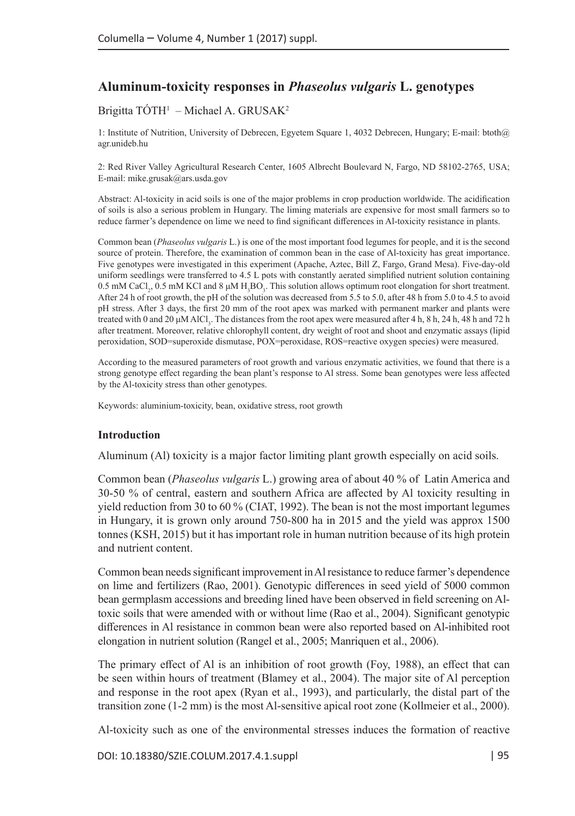# **Aluminum-toxicity responses in** *Phaseolus vulgaris* **L. genotypes**

### Brigitta TÓTH<sup>1</sup> – Michael A. GRUSAK<sup>2</sup>

1: Institute of Nutrition, University of Debrecen, Egyetem Square 1, 4032 Debrecen, Hungary; E-mail: [btoth@](mailto:btoth@agr.unideb.hu) [agr.unideb.hu](mailto:btoth@agr.unideb.hu)

2: Red River Valley Agricultural Research Center, 1605 Albrecht Boulevard N, Fargo, ND 58102-2765, USA; E-mail: [mike.grusak@ars.usda.gov](mailto:mike.grusak@ars.usda.gov)

Abstract: Al-toxicity in acid soils is one of the major problems in crop production worldwide. The acidification of soils is also a serious problem in Hungary. The liming materials are expensive for most small farmers so to reduce farmer's dependence on lime we need to find significant differences in Al-toxicity resistance in plants.

Common bean (*Phaseolus vulgaris* L.) is one of the most important food legumes for people, and it is the second source of protein. Therefore, the examination of common bean in the case of Al-toxicity has great importance. Five genotypes were investigated in this experiment (Apache, Aztec, Bill Z, Fargo, Grand Mesa). Five-day-old uniform seedlings were transferred to 4.5 L pots with constantly aerated simplified nutrient solution containing 0.5 mM CaCl<sub>2</sub>, 0.5 mM KCl and 8  $\mu$ M H<sub>3</sub>BO<sub>3</sub>. This solution allows optimum root elongation for short treatment. After 24 h of root growth, the pH of the solution was decreased from 5.5 to 5.0, after 48 h from 5.0 to 4.5 to avoid pH stress. After 3 days, the first 20 mm of the root apex was marked with permanent marker and plants were treated with 0 and 20 μM AlCl<sub>3</sub>. The distances from the root apex were measured after 4 h, 8 h, 24 h, 48 h and 72 h after treatment. Moreover, relative chlorophyll content, dry weight of root and shoot and enzymatic assays (lipid peroxidation, SOD=superoxide dismutase, POX=peroxidase, ROS=reactive oxygen species) were measured.

According to the measured parameters of root growth and various enzymatic activities, we found that there is a strong genotype effect regarding the bean plant's response to Al stress. Some bean genotypes were less affected by the Al-toxicity stress than other genotypes.

Keywords: aluminium-toxicity, bean, oxidative stress, root growth

### **Introduction**

Aluminum (Al) toxicity is a major factor limiting plant growth especially on acid soils.

Common bean (*Phaseolus vulgaris* L.) growing area of about 40 % of Latin America and 30-50 % of central, eastern and southern Africa are affected by Al toxicity resulting in yield reduction from 30 to 60 % (CIAT, 1992). The bean is not the most important legumes in Hungary, it is grown only around 750-800 ha in 2015 and the yield was approx 1500 tonnes (KSH, 2015) but it has important role in human nutrition because of its high protein and nutrient content.

Common bean needs significant improvement in Al resistance to reduce farmer's dependence on lime and fertilizers (Rao, 2001). Genotypic differences in seed yield of 5000 common bean germplasm accessions and breeding lined have been observed in field screening on Altoxic soils that were amended with or without lime (Rao et al., 2004). Significant genotypic differences in Al resistance in common bean were also reported based on Al-inhibited root elongation in nutrient solution (Rangel et al., 2005; Manriquen et al., 2006).

The primary effect of Al is an inhibition of root growth (Foy, 1988), an effect that can be seen within hours of treatment (Blamey et al., 2004). The major site of Al perception and response in the root apex (Ryan et al., 1993), and particularly, the distal part of the transition zone (1-2 mm) is the most Al-sensitive apical root zone (Kollmeier et al., 2000).

Al-toxicity such as one of the environmental stresses induces the formation of reactive

DOI: 10.18380/SZIE.COLUM.2017.4.1.suppl | 95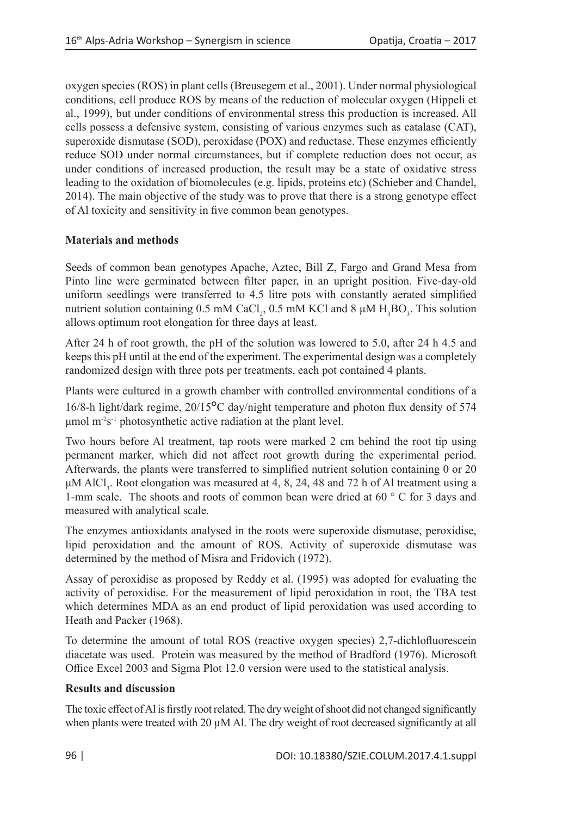oxygen species (ROS) in plant cells (Breusegem et al., 2001). Under normal physiological conditions, cell produce ROS by means of the reduction of molecular oxygen (Hippeli et al., 1999), but under conditions of environmental stress this production is increased. All cells possess a defensive system, consisting of various enzymes such as catalase (CAT), superoxide dismutase (SOD), peroxidase (POX) and reductase. These enzymes efficiently reduce SOD under normal circumstances, but if complete reduction does not occur, as under conditions of increased production, the result may be a state of oxidative stress leading to the oxidation of biomolecules (e.g. lipids, proteins etc) (Schieber and Chandel, 2014). The main objective of the study was to prove that there is a strong genotype effect of Al toxicity and sensitivity in five common bean genotypes.

# **Materials and methods**

Seeds of common bean genotypes Apache, Aztec, Bill Z, Fargo and Grand Mesa from Pinto line were germinated between filter paper, in an upright position. Five-day-old uniform seedlings were transferred to 4.5 litre pots with constantly aerated simplified nutrient solution containing 0.5 mM CaCl<sub>2</sub>, 0.5 mM KCl and 8  $\mu$ M H<sub>3</sub>BO<sub>3</sub>. This solution allows optimum root elongation for three days at least.

After 24 h of root growth, the pH of the solution was lowered to 5.0, after 24 h 4.5 and keeps this pH until at the end of the experiment. The experimental design was a completely randomized design with three pots per treatments, each pot contained 4 plants.

Plants were cultured in a growth chamber with controlled environmental conditions of a 16/8-h light/dark regime, 20/15**°**C day/night temperature and photon flux density of 574 μmol  $m<sup>2</sup>s<sup>-1</sup>$  photosynthetic active radiation at the plant level.

Two hours before Al treatment, tap roots were marked 2 cm behind the root tip using permanent marker, which did not affect root growth during the experimental period. Afterwards, the plants were transferred to simplified nutrient solution containing 0 or 20 μM AlCl<sub>3</sub>. Root elongation was measured at 4, 8, 24, 48 and 72 h of Al treatment using a 1-mm scale. The shoots and roots of common bean were dried at 60 ° C for 3 days and measured with analytical scale.

The enzymes antioxidants analysed in the roots were superoxide dismutase, peroxidise, lipid peroxidation and the amount of ROS. Activity of superoxide dismutase was determined by the method of Misra and Fridovich (1972).

Assay of peroxidise as proposed by Reddy et al. (1995) was adopted for evaluating the activity of peroxidise. For the measurement of lipid peroxidation in root, the TBA test which determines MDA as an end product of lipid peroxidation was used according to Heath and Packer (1968).

To determine the amount of total ROS (reactive oxygen species) 2,7-dichlofluorescein diacetate was used. Protein was measured by the method of Bradford (1976). Microsoft Office Excel 2003 and Sigma Plot 12.0 version were used to the statistical analysis.

## **Results and discussion**

The toxic effect of Al is firstly root related. The dry weight of shoot did not changed significantly when plants were treated with 20  $\mu$ M Al. The dry weight of root decreased significantly at all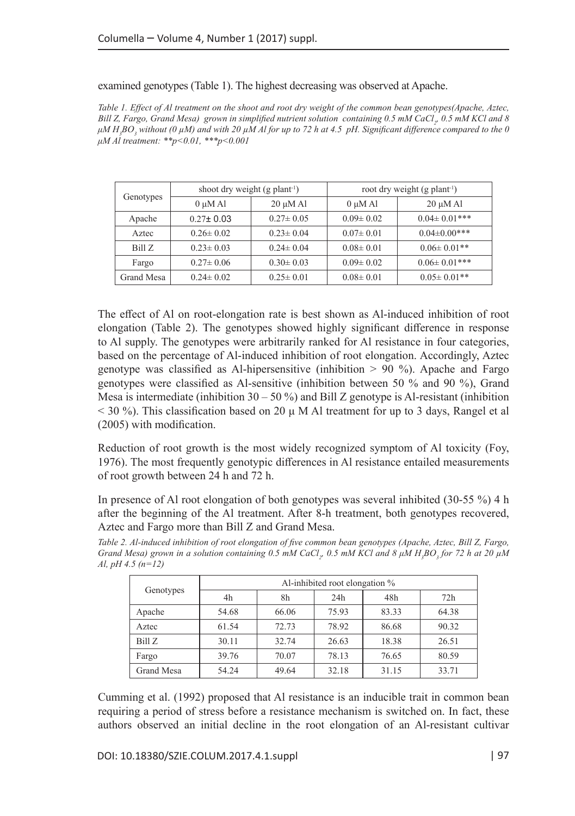examined genotypes (Table 1). The highest decreasing was observed at Apache.

*Table 1. Effect of Al treatment on the shoot and root dry weight of the common bean genotypes(Apache, Aztec, Bill Z, Fargo, Grand Mesa) grown in simplified nutrient solution containing 0.5 mM CaCl<sup>2</sup> , 0.5 mM KCl and 8 μM H<sup>3</sup> BO3 without (0 µM) and with 20 µM Al for up to 72 h at 4.5 pH. Significant difference compared to the 0 μM Al treatment: \*\*p<0.01, \*\*\*p<0.001*

| Genotypes  | shoot dry weight $(g$ plant <sup>-1</sup> ) |                 | root dry weight $(g$ plant <sup>-1</sup> ) |                     |  |
|------------|---------------------------------------------|-----------------|--------------------------------------------|---------------------|--|
|            | $0 \mu M$ Al                                | $20 \mu M$ Al   | $0 \mu M$ Al                               | $20 \mu M$ Al       |  |
| Apache     | $0.27 \pm 0.03$                             | $0.27 \pm 0.05$ | $0.09 \pm 0.02$                            | $0.04 \pm 0.01$ *** |  |
| Aztec      | $0.26 \pm 0.02$                             | $0.23 \pm 0.04$ | $0.07 \pm 0.01$                            | $0.04 \pm 0.00$ *** |  |
| Bill Z     | $0.23 \pm 0.03$                             | $0.24 \pm 0.04$ | $0.08 \pm 0.01$                            | $0.06 \pm 0.01$ **  |  |
| Fargo      | $0.27 \pm 0.06$                             | $0.30 \pm 0.03$ | $0.09 \pm 0.02$                            | $0.06 \pm 0.01$ *** |  |
| Grand Mesa | $0.24 \pm 0.02$                             | $0.25 \pm 0.01$ | $0.08 \pm 0.01$                            | $0.05 \pm 0.01$ **  |  |

The effect of Al on root-elongation rate is best shown as Al-induced inhibition of root elongation (Table 2). The genotypes showed highly significant difference in response to Al supply. The genotypes were arbitrarily ranked for Al resistance in four categories, based on the percentage of Al-induced inhibition of root elongation. Accordingly, Aztec genotype was classified as Al-hipersensitive (inhibition  $> 90\%$ ). Apache and Fargo genotypes were classified as Al-sensitive (inhibition between 50 % and 90 %), Grand Mesa is intermediate (inhibition  $30 - 50$ %) and Bill Z genotype is Al-resistant (inhibition  $<$  30 %). This classification based on 20  $\mu$  M Al treatment for up to 3 days, Rangel et al (2005) with modification.

Reduction of root growth is the most widely recognized symptom of Al toxicity (Foy, 1976). The most frequently genotypic differences in Al resistance entailed measurements of root growth between 24 h and 72 h.

In presence of Al root elongation of both genotypes was several inhibited (30-55 %) 4 h after the beginning of the Al treatment. After 8-h treatment, both genotypes recovered, Aztec and Fargo more than Bill Z and Grand Mesa.

*Table 2. Al-induced inhibition of root elongation of five common bean genotypes (Apache, Aztec, Bill Z, Fargo, Grand Mesa*) grown in a solution containing 0.5 mM CaCl<sub>2</sub>, 0.5 mM KCl and 8 μM H<sub>3</sub>BO<sub>3</sub> for 72 h at 20 μM *Al, pH 4.5 (n=12)*

|            | Al-inhibited root elongation % |       |       |       |       |  |
|------------|--------------------------------|-------|-------|-------|-------|--|
| Genotypes  | 4h                             | 8h    | 24h   | 48h   | 72h   |  |
| Apache     | 54.68                          | 66.06 | 75.93 | 83.33 | 64.38 |  |
| Aztec      | 61.54                          | 72.73 | 78.92 | 86.68 | 90.32 |  |
| Bill Z     | 30.11                          | 32.74 | 26.63 | 18.38 | 26.51 |  |
| Fargo      | 39.76                          | 70.07 | 78.13 | 76.65 | 80.59 |  |
| Grand Mesa | 54.24                          | 49.64 | 32.18 | 31.15 | 33.71 |  |

Cumming et al. (1992) proposed that Al resistance is an inducible trait in common bean requiring a period of stress before a resistance mechanism is switched on. In fact, these authors observed an initial decline in the root elongation of an Al-resistant cultivar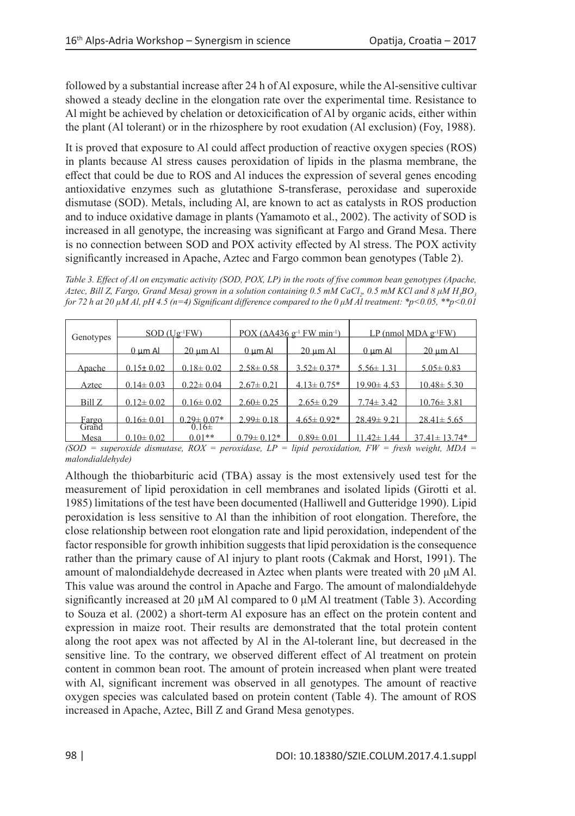followed by a substantial increase after 24 h of Al exposure, while the Al-sensitive cultivar showed a steady decline in the elongation rate over the experimental time. Resistance to Al might be achieved by chelation or detoxicification of Al by organic acids, either within the plant (Al tolerant) or in the rhizosphere by root exudation (Al exclusion) (Foy, 1988).

It is proved that exposure to Al could affect production of reactive oxygen species (ROS) in plants because Al stress causes peroxidation of lipids in the plasma membrane, the effect that could be due to ROS and Al induces the expression of several genes encoding antioxidative enzymes such as glutathione S-transferase, peroxidase and superoxide dismutase (SOD). Metals, including Al, are known to act as catalysts in ROS production and to induce oxidative damage in plants (Yamamoto et al., 2002). The activity of SOD is increased in all genotype, the increasing was significant at Fargo and Grand Mesa. There is no connection between SOD and POX activity effected by Al stress. The POX activity significantly increased in Apache, Aztec and Fargo common bean genotypes (Table 2).

*Table 3. Effect of Al on enzymatic activity (SOD, POX, LP) in the roots of five common bean genotypes (Apache, Aztec, Bill Z, Fargo, Grand Mesa) grown in a solution containing 0.5 mM CaCl<sup>2</sup> , 0.5 mM KCl and 8 μM H<sup>3</sup> BO3 for 72 h at 20 µM Al, pH 4.5 (n=4) Significant difference compared to the 0 μM Al treatment: \*p<0.05, \*\*p<0.01* 

| Genotypes              | $SOD$ (Ug <sup>-1</sup> FW) |                       | POX ( $\triangle$ A436 g <sup>-1</sup> FW min <sup>-1</sup> ) |                   | $LP$ (nmol MDA $g^{-1}FW$ ) |                    |
|------------------------|-----------------------------|-----------------------|---------------------------------------------------------------|-------------------|-----------------------------|--------------------|
|                        | $0 \mu m$ Al                | <u>20 um Al</u>       | $0 \, \mathrm{um}$ Al                                         | <u>20 um Al</u>   | $0 \text{ µm}$ Al           | $20 \text{ µm}$ Al |
| <b>Apache</b>          | $0.15 \pm 0.02$             | $0.18 \pm 0.02$       | $2.58 \pm 0.58$                                               | $3.52 \pm 0.37*$  | $5.56 \pm 1.31$             | $5.05 \pm 0.83$    |
| Aztec                  | $0.14 \pm 0.03$             | $0.22 \pm 0.04$       | $2.67 \pm 0.21$                                               | $4.13 \pm 0.75$ * | $19.90 \pm 4.53$            | $10.48 \pm 5.30$   |
| Bill Z                 | $0.12 \pm 0.02$             | $0.16 \pm 0.02$       | $2.60 \pm 0.25$                                               | $2.65 \pm 0.29$   | $7.74 \pm 3.42$             | $10.76 \pm 3.81$   |
|                        | $0.16 \pm 0.01$             | $0.29 \pm 0.07*$      | $2.99 \pm 0.18$                                               | $4.65 \pm 0.92*$  | $28.49 \pm 9.21$            | $28.41 \pm 5.65$   |
| Fargo<br>Grand<br>Mesa | $0.10 \pm 0.02$             | $0.16\pm$<br>$0.01**$ | $0.79 \pm 0.12*$                                              | $0.89 \pm 0.01$   | 11.42± 1.44                 | $37.41 \pm 13.74*$ |

*(SOD = superoxide dismutase, ROX = peroxidase, LP = lipid peroxidation, FW = fresh weight, MDA = malondialdehyde)*

Although the thiobarbituric acid (TBA) assay is the most extensively used test for the measurement of lipid peroxidation in cell membranes and isolated lipids (Girotti et al. 1985) limitations of the test have been documented (Halliwell and Gutteridge 1990). Lipid peroxidation is less sensitive to Al than the inhibition of root elongation. Therefore, the close relationship between root elongation rate and lipid peroxidation, independent of the factor responsible for growth inhibition suggests that lipid peroxidation is the consequence rather than the primary cause of Al injury to plant roots (Cakmak and Horst, 1991). The amount of malondialdehyde decreased in Aztec when plants were treated with 20 μM Al. This value was around the control in Apache and Fargo. The amount of malondialdehyde significantly increased at 20  $\mu$ M Al compared to 0  $\mu$ M Al treatment (Table 3). According to Souza et al. (2002) a short-term Al exposure has an effect on the protein content and expression in maize root. Their results are demonstrated that the total protein content along the root apex was not affected by Al in the Al-tolerant line, but decreased in the sensitive line. To the contrary, we observed different effect of Al treatment on protein content in common bean root. The amount of protein increased when plant were treated with Al, significant increment was observed in all genotypes. The amount of reactive oxygen species was calculated based on protein content (Table 4). The amount of ROS increased in Apache, Aztec, Bill Z and Grand Mesa genotypes.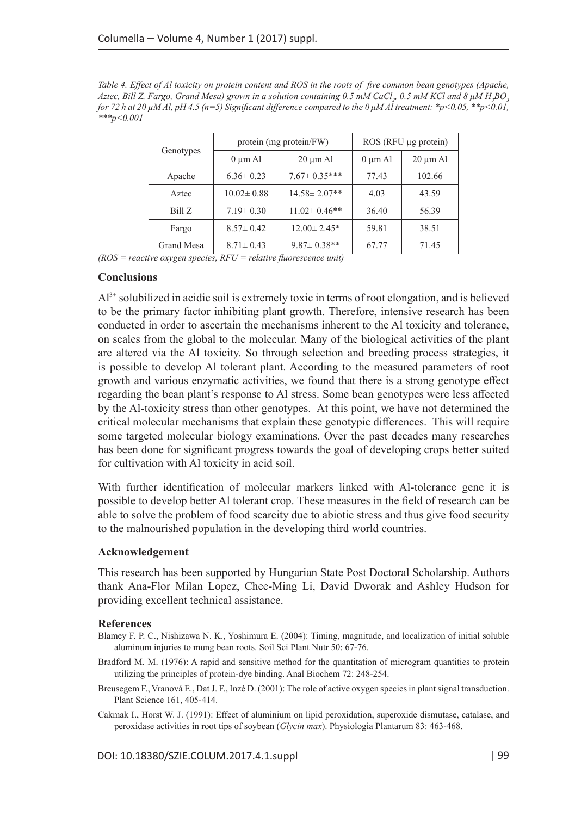*Table 4. Effect of Al toxicity on protein content and ROS in the roots of five common bean genotypes (Apache, Aztec, Bill Z, Fargo, Grand Mesa) grown in a solution containing 0.5 mM CaCl<sup>2</sup> , 0.5 mM KCl and 8 μM H<sup>3</sup> BO3 for 72 h at 20 µM Al, pH 4.5 (n=5) Significant difference compared to the 0 μM Al treatment: \*p<0.05, \*\*p<0.01, \*\*\*p<0.001*

|            |                  | protein (mg protein/FW) | ROS (RFU µg protein) |               |  |
|------------|------------------|-------------------------|----------------------|---------------|--|
| Genotypes  | $0 \mu m$ Al     | $20 \mu m$ Al           | $0 \mu m$ Al         | $20 \mu m$ Al |  |
| Apache     | $6.36 \pm 0.23$  | $7.67 \pm 0.35***$      | 77.43                | 102.66        |  |
| Aztec      | $10.02 \pm 0.88$ | $14.58 \pm 2.07**$      | 4.03                 | 43.59         |  |
| Bill Z     | $7.19 \pm 0.30$  | $11.02 \pm 0.46$ **     | 36.40                | 56.39         |  |
| Fargo      | $8.57 \pm 0.42$  | $12.00 \pm 2.45*$       | 59.81                | 38.51         |  |
| Grand Mesa | $8.71 \pm 0.43$  | $9.87 \pm 0.38$ **      | 67.77                | 71.45         |  |

*(ROS = reactive oxygen species, RFU = relative fluorescence unit)*

#### **Conclusions**

 $Al<sup>3+</sup>$  solubilized in acidic soil is extremely toxic in terms of root elongation, and is believed to be the primary factor inhibiting plant growth. Therefore, intensive research has been conducted in order to ascertain the mechanisms inherent to the Al toxicity and tolerance, on scales from the global to the molecular. Many of the biological activities of the plant are altered via the Al toxicity. So through selection and breeding process strategies, it is possible to develop Al tolerant plant. According to the measured parameters of root growth and various enzymatic activities, we found that there is a strong genotype effect regarding the bean plant's response to Al stress. Some bean genotypes were less affected by the Al-toxicity stress than other genotypes. At this point, we have not determined the critical molecular mechanisms that explain these genotypic differences. This will require some targeted molecular biology examinations. Over the past decades many researches has been done for significant progress towards the goal of developing crops better suited for cultivation with Al toxicity in acid soil.

With further identification of molecular markers linked with Al-tolerance gene it is possible to develop better Al tolerant crop. These measures in the field of research can be able to solve the problem of food scarcity due to abiotic stress and thus give food security to the malnourished population in the developing third world countries.

### **Acknowledgement**

This research has been supported by Hungarian State Post Doctoral Scholarship. Authors thank Ana-Flor Milan Lopez, Chee-Ming Li, David Dworak and Ashley Hudson for providing excellent technical assistance.

#### **References**

- Blamey F. P. C., Nishizawa N. K., Yoshimura E. (2004): Timing, magnitude, and localization of initial soluble aluminum injuries to mung bean roots. Soil Sci Plant Nutr 50: 67-76.
- Bradford M. M. (1976): A rapid and sensitive method for the quantitation of microgram quantities to protein utilizing the principles of protein-dye binding. Anal Biochem 72: 248-254.
- Breusegem F., Vranová E., Dat J. F., Inzé D. (2001): The role of active oxygen species in plant signal transduction. Plant Science 161, 405-414.
- Cakmak I., Horst W. J. (1991): Effect of aluminium on lipid peroxidation, superoxide dismutase, catalase, and peroxidase activities in root tips of soybean (*Glycin max*). Physiologia Plantarum 83: 463-468.